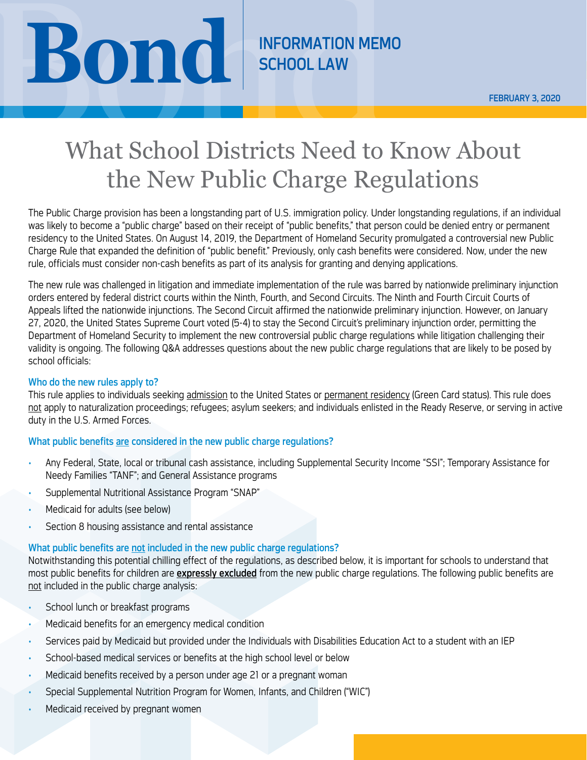SCHOOL LAW

# **Bond Represent FEBRUARY 3, 2020**<br>
What School Districts Need to Know About What School Districts Need to Know About the New Public Charge Regulations

The Public Charge provision has been a longstanding part of U.S. immigration policy. Under longstanding regulations, if an individual was likely to become a "public charge" based on their receipt of "public benefits," that person could be denied entry or permanent residency to the United States. On August 14, 2019, the Department of Homeland Security promulgated a controversial new Public Charge Rule that expanded the definition of "public benefit." Previously, only cash benefits were considered. Now, under the new rule, officials must consider non-cash benefits as part of its analysis for granting and denying applications.

The new rule was challenged in litigation and immediate implementation of the rule was barred by nationwide preliminary injunction orders entered by federal district courts within the Ninth, Fourth, and Second Circuits. The Ninth and Fourth Circuit Courts of Appeals lifted the nationwide injunctions. The Second Circuit affirmed the nationwide preliminary injunction. However, on January 27, 2020, the United States Supreme Court voted (5-4) to stay the Second Circuit's preliminary injunction order, permitting the Department of Homeland Security to implement the new controversial public charge regulations while litigation challenging their validity is ongoing. The following Q&A addresses questions about the new public charge regulations that are likely to be posed by school officials:

### Who do the new rules apply to?

This rule applies to individuals seeking admission to the United States or permanent residency (Green Card status). This rule does not apply to naturalization proceedings; refugees; asylum seekers; and individuals enlisted in the Ready Reserve, or serving in active duty in the U.S. Armed Forces.

# What public benefits are considered in the new public charge regulations?

- Any Federal, State, local or tribunal cash assistance, including Supplemental Security Income "SSI"; Temporary Assistance for Needy Families "TANF"; and General Assistance programs
- Supplemental Nutritional Assistance Program "SNAP"
- Medicaid for adults (see below)
- Section 8 housing assistance and rental assistance

# What public benefits are not included in the new public charge regulations?

Notwithstanding this potential chilling effect of the regulations, as described below, it is important for schools to understand that most public benefits for children are expressly excluded from the new public charge regulations. The following public benefits are not included in the public charge analysis:

- School lunch or breakfast programs
- Medicaid benefits for an emergency medical condition
- Services paid by Medicaid but provided under the Individuals with Disabilities Education Act to a student with an IEP
- School-based medical services or benefits at the high school level or below
- Medicaid benefits received by a person under age 21 or a pregnant woman
- Special Supplemental Nutrition Program for Women, Infants, and Children ("WIC")
- Medicaid received by pregnant women